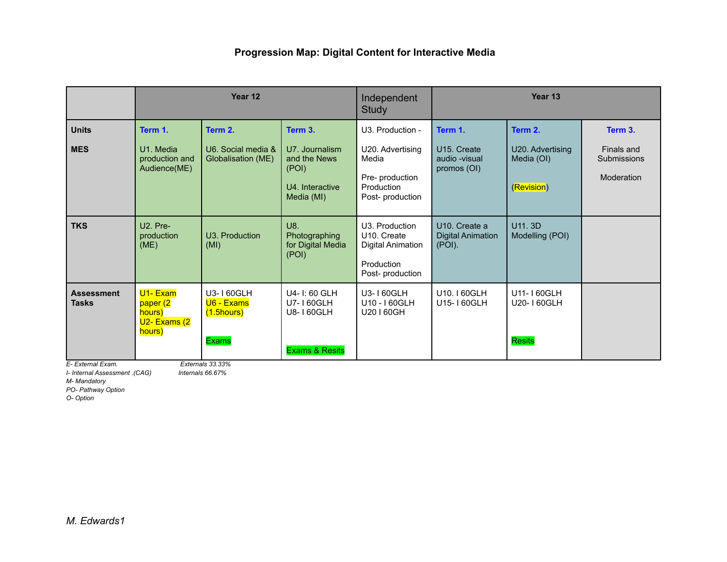|                                                        |                                                                      | Year 12                                                                         |                                                                          | Independent<br><b>Study</b>                                                                | Year 13                                                   |                                              |                                         |
|--------------------------------------------------------|----------------------------------------------------------------------|---------------------------------------------------------------------------------|--------------------------------------------------------------------------|--------------------------------------------------------------------------------------------|-----------------------------------------------------------|----------------------------------------------|-----------------------------------------|
| <b>Units</b>                                           | Term 1.                                                              | Term 2.                                                                         | Term 3.                                                                  | U3. Production -                                                                           | Term 1.                                                   | Term 2.                                      | Term 3.                                 |
| <b>MES</b>                                             | U1. Media<br>production and<br>Audience(ME)                          | U6. Social media &<br>Globalisation (ME)                                        | U7. Journalism<br>and the News<br>(POI)<br>U4. Interactive<br>Media (MI) | U20. Advertising<br>Media<br>Pre- production<br>Production<br>Post-production              | U <sub>15</sub> . Create<br>audio - visual<br>promos (OI) | U20. Advertising<br>Media (OI)<br>(Revision) | Finals and<br>Submissions<br>Moderation |
| <b>TKS</b>                                             | U <sub>2</sub> . Pre-<br>production<br>(ME)                          | U3. Production<br>(MI)                                                          | U8.<br>Photographing<br>for Digital Media<br>(POI)                       | U3. Production<br>U10. Create<br><b>Digital Animation</b><br>Production<br>Post-production | U <sub>10</sub> . Create a<br>Digital Animation<br>(POI). | U11, 3D<br>Modelling (POI)                   |                                         |
| <b>Assessment</b><br><b>Tasks</b><br>E- External Exam. | U1-Exam<br>paper (2<br>hours)<br>U <sub>2</sub> - Exams (2<br>hours) | U3-160GLH<br>U6 - Exams<br>$(1.5$ hours $)$<br><b>Exams</b><br>Externals 33.33% | U4-1:60 GLH<br>U7-160GLH<br>U8-160GLH<br><b>Exams &amp; Resits</b>       | U3-160GLH<br>U10 - I 60GLH<br>U20160GH                                                     | U10.160GLH<br>U15-160GLH                                  | U11-160GLH<br>U20-160GLH<br><b>Resits</b>    |                                         |

*I- Internal Assessment .(CAG) Internals 66.67%*

*M- Mandatory*

*PO- Pathway Option*

*O- Option*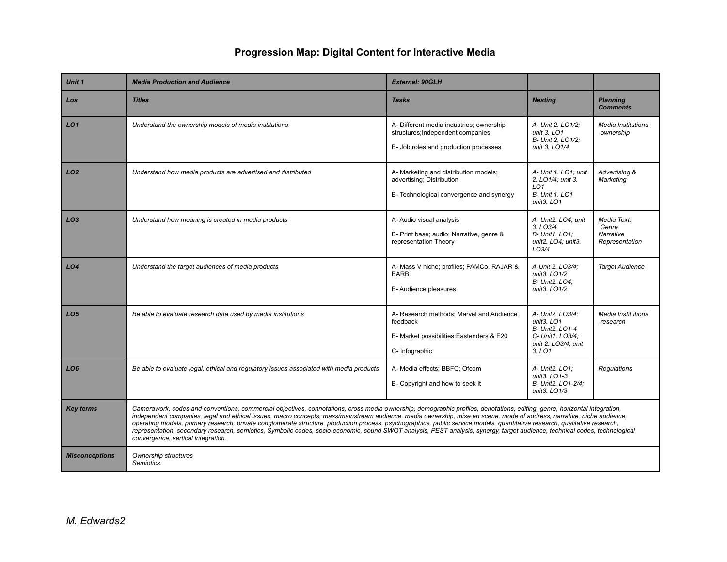| Unit 1                | <b>Media Production and Audience</b>                                                                                                                                                                                                                                                                                                                                                                                                                                                                                                                                                                                                                                                                                                                    | <b>External: 90GLH</b>                                                                                                 |                                                                                                                  |                                                     |
|-----------------------|---------------------------------------------------------------------------------------------------------------------------------------------------------------------------------------------------------------------------------------------------------------------------------------------------------------------------------------------------------------------------------------------------------------------------------------------------------------------------------------------------------------------------------------------------------------------------------------------------------------------------------------------------------------------------------------------------------------------------------------------------------|------------------------------------------------------------------------------------------------------------------------|------------------------------------------------------------------------------------------------------------------|-----------------------------------------------------|
| Los                   | <b>Titles</b>                                                                                                                                                                                                                                                                                                                                                                                                                                                                                                                                                                                                                                                                                                                                           | <b>Tasks</b>                                                                                                           | <b>Nesting</b>                                                                                                   | <b>Planning</b><br><b>Comments</b>                  |
| LO <sub>1</sub>       | Understand the ownership models of media institutions                                                                                                                                                                                                                                                                                                                                                                                                                                                                                                                                                                                                                                                                                                   | A- Different media industries; ownership<br>structures; Independent companies<br>B- Job roles and production processes | A- Unit 2. LO1/2;<br>unit 3. LO1<br>B- Unit 2. LO1/2;<br>unit 3. LO1/4                                           | <b>Media Institutions</b><br>-ownership             |
| LO <sub>2</sub>       | Understand how media products are advertised and distributed                                                                                                                                                                                                                                                                                                                                                                                                                                                                                                                                                                                                                                                                                            | A- Marketing and distribution models;<br>advertising; Distribution<br>B- Technological convergence and synergy         | A- Unit 1. LO1; unit<br>2. LO1/4: unit 3.<br>LO <sub>1</sub><br><b>B- Unit 1. LO1</b><br>unit3. $LO1$            | Advertising &<br>Marketing                          |
| LO <sub>3</sub>       | Understand how meaning is created in media products                                                                                                                                                                                                                                                                                                                                                                                                                                                                                                                                                                                                                                                                                                     | A- Audio visual analysis<br>B- Print base; audio; Narrative, genre &<br>representation Theory                          | A- Unit2. LO4; unit<br>$3.$ LO $3/4$<br><b>B- Unit1, LO1:</b><br>unit2. LO4; unit3.<br>LO3/4                     | Media Text:<br>Genre<br>Narrative<br>Representation |
| LO <sub>4</sub>       | Understand the target audiences of media products                                                                                                                                                                                                                                                                                                                                                                                                                                                                                                                                                                                                                                                                                                       | A- Mass V niche; profiles; PAMCo, RAJAR &<br><b>BARB</b><br>B-Audience pleasures                                       | A-Unit 2. LO3/4;<br>unit3. LO1/2<br><b>B- Unit2. LO4:</b><br>unit3. LO1/2                                        | <b>Target Audience</b>                              |
| LO <sub>5</sub>       | Be able to evaluate research data used by media institutions                                                                                                                                                                                                                                                                                                                                                                                                                                                                                                                                                                                                                                                                                            | A- Research methods; Marvel and Audience<br>feedback<br>B- Market possibilities: Eastenders & E20<br>C-Infographic     | A- Unit2. LO3/4;<br>unit $3.$ LO1<br><b>B- Unit2. LO1-4</b><br>C- Unit1. LO3/4;<br>unit 2. LO3/4; unit<br>3. LO1 | Media Institutions<br>-research                     |
| LO <sub>6</sub>       | Be able to evaluate legal, ethical and regulatory issues associated with media products                                                                                                                                                                                                                                                                                                                                                                                                                                                                                                                                                                                                                                                                 | A- Media effects; BBFC; Ofcom<br>B- Copyright and how to seek it                                                       | A- Unit2, LO1:<br>unit3. LO1-3<br>B- Unit2. LO1-2/4;<br>unit3. LO1/3                                             | <b>Regulations</b>                                  |
| <b>Key terms</b>      | Camerawork, codes and conventions, commercial objectives, connotations, cross media ownership, demographic profiles, denotations, editing, genre, horizontal integration,<br>independent companies, legal and ethical issues, macro concepts, mass/mainstream audience, media ownership, mise en scene, mode of address, narrative, niche audience,<br>operating models, primary research, private conglomerate structure, production process, psychographics, public service models, quantitative research, qualitative research,<br>representation, secondary research, semiotics, Symbolic codes, socio-economic, sound SWOT analysis, PEST analysis, synergy, target audience, technical codes, technological<br>convergence, vertical integration. |                                                                                                                        |                                                                                                                  |                                                     |
| <b>Misconceptions</b> | Ownership structures<br><b>Semiotics</b>                                                                                                                                                                                                                                                                                                                                                                                                                                                                                                                                                                                                                                                                                                                |                                                                                                                        |                                                                                                                  |                                                     |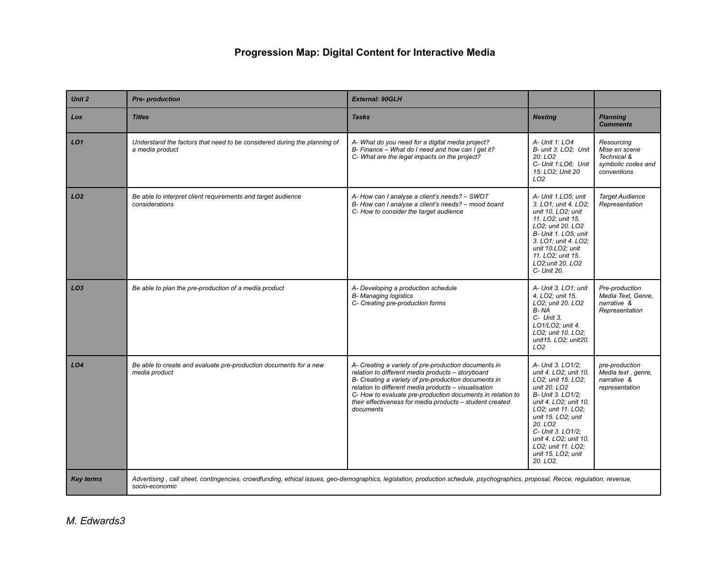| Unit 2           | Pre- production                                                                                                                                                                                   | <b>External: 90GLH</b>                                                                                                                                                                                                                                                                                                                                           |                                                                                                                                                                                                                                                                                                                                  |                                                                                 |
|------------------|---------------------------------------------------------------------------------------------------------------------------------------------------------------------------------------------------|------------------------------------------------------------------------------------------------------------------------------------------------------------------------------------------------------------------------------------------------------------------------------------------------------------------------------------------------------------------|----------------------------------------------------------------------------------------------------------------------------------------------------------------------------------------------------------------------------------------------------------------------------------------------------------------------------------|---------------------------------------------------------------------------------|
| Los              | <b>Titles</b>                                                                                                                                                                                     | <b>Tasks</b>                                                                                                                                                                                                                                                                                                                                                     | <b>Nesting</b>                                                                                                                                                                                                                                                                                                                   | <b>Planning</b><br><b>Comments</b>                                              |
| LO1              | Understand the factors that need to be considered during the planning of<br>a media product                                                                                                       | A-What do you need for a digital media project?<br>B- Finance - What do I need and how can I get it?<br>C-What are the legal impacts on the project?                                                                                                                                                                                                             | A- Unit 1: LO4<br>B- unit 3: LO2; Unit<br>20:LO2<br>C- Unit 1:LO6; Unit<br>15: LO2; Unit 20<br>LO <sub>2</sub>                                                                                                                                                                                                                   | Resourcing<br>Mise en scene<br>Technical &<br>symbolic codes and<br>conventions |
| LO <sub>2</sub>  | Be able to interpret client requirements and target audience<br>considerations                                                                                                                    | A-How can I analyse a client's needs? - SWOT<br>B- How can I analyse a client's needs? - mood board<br>C-How to consider the target audience                                                                                                                                                                                                                     | A- Unit 1.LO5; unit<br>3. LO1; unit 4. LO2;<br>unit 10. LO2; unit<br>11. LO2; unit 15.<br>LO2; unit 20. LO2<br>B- Unit 1, LO5; unit<br>3. LO1; unit 4. LO2;<br>unit 10.LO2: unit<br>11. LO2; unit 15.<br>LO2:unit 20, LO2<br>C- Unit 20.                                                                                         | <b>Target Audience</b><br>Representation                                        |
| LO3              | Be able to plan the pre-production of a media product                                                                                                                                             | A- Developing a production schedule<br><b>B-</b> Managing logistics<br>C- Creating pre-production forms                                                                                                                                                                                                                                                          | A- Unit 3. LO1; unit<br>4. LO2; unit 15.<br>LO2: unit 20, LO2<br>B-NA<br>$C-$ Unit 3.<br>LO1/LO2; unit 4.<br>LO2; unit 10. LO2;<br>unit15. LO2; unit20.<br>LO <sub>2</sub>                                                                                                                                                       | Pre-production<br>Media Text, Genre,<br>narrative &<br>Representation           |
| LO <sub>4</sub>  | Be able to create and evaluate pre-production documents for a new<br>media product                                                                                                                | A- Creating a variety of pre-production documents in<br>relation to different media products - storyboard<br>B- Creating a variety of pre-production documents in<br>relation to different media products - visualisation<br>C- How to evaluate pre-production documents in relation to<br>their effectiveness for media products - student created<br>documents | A- Unit 3. LO1/2;<br>unit 4. LO2; unit 10.<br>LO2; unit 15. LO2;<br>unit 20, LO <sub>2</sub><br>B- Unit 3. LO1/2:<br>unit 4. LO2; unit 10.<br>LO2: unit 11, LO2:<br>unit 15. LO2; unit<br>20. LO <sub>2</sub><br>C- Unit 3. LO1/2;<br>unit 4. LO2: unit 10.<br>LO2; unit 11. LO2;<br>unit 15. LO2; unit<br>20. LO <sub>2</sub> . | pre-production<br>Media text, genre,<br>narrative &<br>representation           |
| <b>Key terms</b> | Advertising, call sheet, contingencies, crowdfunding, ethical issues, geo-demographics, legislation, production schedule, psychographics, proposal, Recce, regulation, revenue,<br>socio-economic |                                                                                                                                                                                                                                                                                                                                                                  |                                                                                                                                                                                                                                                                                                                                  |                                                                                 |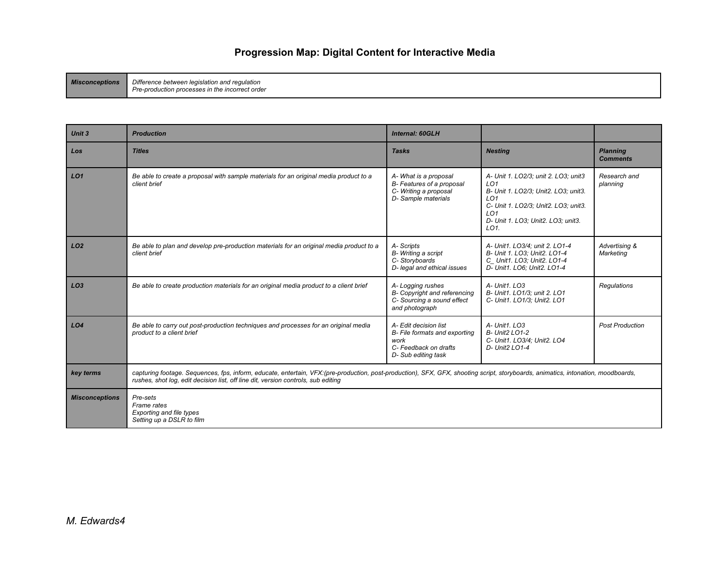*Misconceptions Difference between legislation and regulation Pre-production processes in the incorrect order*

| Unit 3                | <b>Production</b>                                                                                                                                                                                                                                                     | <b>Internal: 60GLH</b>                                                                                        |                                                                                                                                                                                                                             |                                    |
|-----------------------|-----------------------------------------------------------------------------------------------------------------------------------------------------------------------------------------------------------------------------------------------------------------------|---------------------------------------------------------------------------------------------------------------|-----------------------------------------------------------------------------------------------------------------------------------------------------------------------------------------------------------------------------|------------------------------------|
| Los                   | <b>Titles</b>                                                                                                                                                                                                                                                         | <b>Tasks</b>                                                                                                  | <b>Nesting</b>                                                                                                                                                                                                              | <b>Planning</b><br><b>Comments</b> |
| LO1                   | Be able to create a proposal with sample materials for an original media product to a<br>client brief                                                                                                                                                                 | A-What is a proposal<br>B- Features of a proposal<br>C- Writing a proposal<br>D- Sample materials             | A- Unit 1. LO2/3; unit 2. LO3; unit3<br>LO <sub>1</sub><br>B- Unit 1. LO2/3; Unit2. LO3; unit3.<br>LO <sub>1</sub><br>C- Unit 1. LO2/3; Unit2. LO3; unit3.<br>LO <sub>1</sub><br>D- Unit 1. LO3; Unit2. LO3; unit3.<br>LO1. | Research and<br>planning           |
| LO2                   | Be able to plan and develop pre-production materials for an original media product to a<br>client brief                                                                                                                                                               | A-Scripts<br>B- Writing a script<br>C-Storyboards<br>D- legal and ethical issues                              | A- Unit1. LO3/4; unit 2. LO1-4<br>B- Unit 1. LO3; Unit2. LO1-4<br>C Unit1. LO3; Unit2. LO1-4<br>D- Unit1. LO6; Unit2. LO1-4                                                                                                 | Advertising &<br>Marketing         |
| LO <sub>3</sub>       | Be able to create production materials for an original media product to a client brief                                                                                                                                                                                | A-Logging rushes<br>B- Copyright and referencing<br>C- Sourcing a sound effect<br>and photograph              | A- Unit1. LO3<br>B- Unit1. LO1/3: unit 2. LO1<br>C- Unit1. LO1/3; Unit2. LO1                                                                                                                                                | <b>Regulations</b>                 |
| LO <sub>4</sub>       | Be able to carry out post-production techniques and processes for an original media<br>product to a client brief                                                                                                                                                      | A- Edit decision list<br>B- File formats and exporting<br>work<br>C-Feedback on drafts<br>D- Sub editing task | A- Unit1, LO3<br><b>B- Unit2 LO1-2</b><br>C- Unit1. LO3/4: Unit2. LO4<br>D- Unit2 LO1-4                                                                                                                                     | <b>Post Production</b>             |
| key terms             | capturing footage. Sequences, fps, inform, educate, entertain, VFX:(pre-production, post-production), SFX, GFX, shooting script, storyboards, animatics, intonation, moodboards,<br>rushes, shot log, edit decision list, off line dit, version controls, sub editing |                                                                                                               |                                                                                                                                                                                                                             |                                    |
| <b>Misconceptions</b> | Pre-sets<br>Frame rates<br><b>Exporting and file types</b><br>Setting up a DSLR to film                                                                                                                                                                               |                                                                                                               |                                                                                                                                                                                                                             |                                    |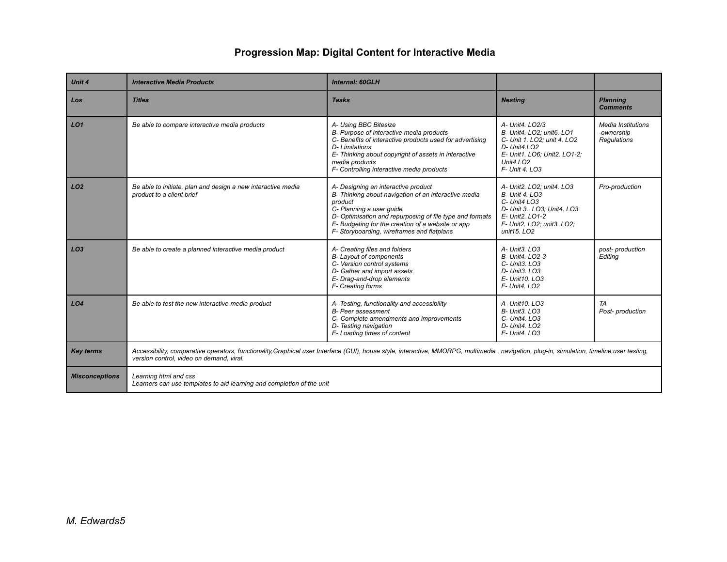| Unit 4                | <b>Interactive Media Products</b>                                                                                                                                                                                                       | <b>Internal: 60GLH</b>                                                                                                                                                                                                                                                                            |                                                                                                                                                                             |                                                        |
|-----------------------|-----------------------------------------------------------------------------------------------------------------------------------------------------------------------------------------------------------------------------------------|---------------------------------------------------------------------------------------------------------------------------------------------------------------------------------------------------------------------------------------------------------------------------------------------------|-----------------------------------------------------------------------------------------------------------------------------------------------------------------------------|--------------------------------------------------------|
| Los                   | <b>Titles</b>                                                                                                                                                                                                                           | <b>Tasks</b>                                                                                                                                                                                                                                                                                      | <b>Nesting</b>                                                                                                                                                              | <b>Planning</b><br><b>Comments</b>                     |
| LO1                   | Be able to compare interactive media products                                                                                                                                                                                           | A- Using BBC Bitesize<br>B- Purpose of interactive media products<br>C- Benefits of interactive products used for advertising<br>D- Limitations<br>E- Thinking about copyright of assets in interactive<br>media products<br>F- Controlling interactive media products                            | A- Unit4, LO2/3<br>B- Unit4, LO2: unit6, LO1<br>C- Unit 1. LO2; unit 4. LO2<br>D- Unit4.LO2<br>E- Unit1. LO6; Unit2. LO1-2;<br>Unit $4.LO2$<br>F- Unit 4. LO3               | Media Institutions<br>-ownership<br><b>Regulations</b> |
| LO <sub>2</sub>       | Be able to initiate, plan and design a new interactive media<br>product to a client brief                                                                                                                                               | A- Designing an interactive product<br>B- Thinking about navigation of an interactive media<br>product<br>C- Planning a user quide<br>D- Optimisation and repurposing of file type and formats<br>E- Budgeting for the creation of a website or app<br>F- Storyboarding, wireframes and flatplans | A- Unit2, LO2: unit4, LO3<br><b>B- Unit 4. LO3</b><br>C- Unit4 LO3<br>D- Unit 3 LO3; Unit4. LO3<br>E- Unit2, LO1-2<br>F- Unit2. LO2; unit3. LO2;<br>unit15, LO <sub>2</sub> | Pro-production                                         |
| LO3                   | Be able to create a planned interactive media product                                                                                                                                                                                   | A- Creating files and folders<br>B-Layout of components<br>C- Version control systems<br>D- Gather and import assets<br>E- Drag-and-drop elements<br>F- Creating forms                                                                                                                            | A- Unit3, LO3<br>B- Unit4, LO2-3<br>C- Unit3. LO3<br>D- Unit3. LO3<br>E- Unit10, LO3<br>F- Unit4, LO2                                                                       | post-production<br>Editing                             |
| LO4                   | Be able to test the new interactive media product                                                                                                                                                                                       | A- Testing, functionality and accessibility<br><b>B-</b> Peer assessment<br>C- Complete amendments and improvements<br>D- Testing navigation<br>E-Loading times of content                                                                                                                        | A- Unit10, LO3<br>B- Unit3. LO3<br>C- Unit4. LO3<br>D- Unit4, LO2<br>$E - Unit4$ . LO3                                                                                      | TA<br>Post- production                                 |
| <b>Key terms</b>      | Accessibility, comparative operators, functionality, Graphical user Interface (GUI), house style, interactive, MMORPG, multimedia, navigation, plug-in, simulation, timeline, user testing,<br>version control, video on demand, viral. |                                                                                                                                                                                                                                                                                                   |                                                                                                                                                                             |                                                        |
| <b>Misconceptions</b> | Learning html and css<br>Learners can use templates to aid learning and completion of the unit                                                                                                                                          |                                                                                                                                                                                                                                                                                                   |                                                                                                                                                                             |                                                        |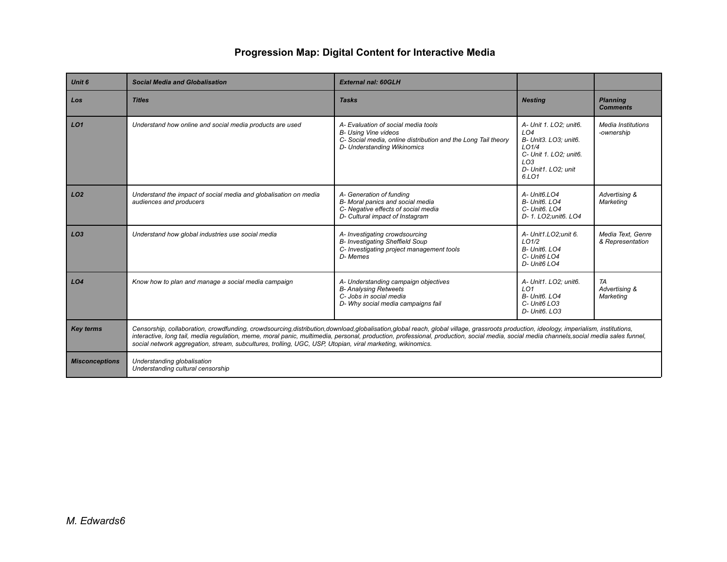| <b>Unit 6</b>         | <b>Social Media and Globalisation</b>                                                                                                                                                                                                                                                                                                                                                                                                                                                          | <b>External nal: 60GLH</b>                                                                                                                                         |                                                                                                                                              |                                       |  |
|-----------------------|------------------------------------------------------------------------------------------------------------------------------------------------------------------------------------------------------------------------------------------------------------------------------------------------------------------------------------------------------------------------------------------------------------------------------------------------------------------------------------------------|--------------------------------------------------------------------------------------------------------------------------------------------------------------------|----------------------------------------------------------------------------------------------------------------------------------------------|---------------------------------------|--|
| Los                   | <b>Titles</b>                                                                                                                                                                                                                                                                                                                                                                                                                                                                                  | <b>Tasks</b>                                                                                                                                                       | <b>Nesting</b>                                                                                                                               | <b>Planning</b><br><b>Comments</b>    |  |
| LO <sub>1</sub>       | Understand how online and social media products are used                                                                                                                                                                                                                                                                                                                                                                                                                                       | A- Evaluation of social media tools<br><b>B- Using Vine videos</b><br>C- Social media, online distribution and the Long Tail theory<br>D- Understanding Wikinomics | A- Unit 1. LO2; unit6.<br>LO4<br>B- Unit3. LO3; unit6.<br>LO1/4<br>C- Unit 1. LO2; unit6.<br>LO <sub>3</sub><br>D- Unit1. LO2; unit<br>6.LO1 | Media Institutions<br>-ownership      |  |
| LO2                   | Understand the impact of social media and globalisation on media<br>audiences and producers                                                                                                                                                                                                                                                                                                                                                                                                    | A- Generation of funding<br>B- Moral panics and social media<br>C- Negative effects of social media<br>D- Cultural impact of Instagram                             | A- Unit6.LO4<br>B- Unit6, LO4<br>C- Unit6. LO4<br>D- 1. LO2;unit6. LO4                                                                       | Advertising &<br>Marketing            |  |
| LO3                   | Understand how global industries use social media                                                                                                                                                                                                                                                                                                                                                                                                                                              | A- Investigating crowdsourcing<br>B- Investigating Sheffield Soup<br>C- Investigating project management tools<br>D-Memes                                          | A- Unit1.LO2;unit 6.<br>LO1/2<br>B- Unit6, LO4<br>C- Unit6 LO4<br>D- Unit6 LO4                                                               | Media Text, Genre<br>& Representation |  |
| L <sub>O4</sub>       | Know how to plan and manage a social media campaign                                                                                                                                                                                                                                                                                                                                                                                                                                            | A- Understanding campaign objectives<br><b>B-Analysing Retweets</b><br>C- Jobs in social media<br>D- Why social media campaigns fail                               | A- Unit1. LO2; unit6.<br>LO <sub>1</sub><br>B- Unit6, LO4<br>C- Unit6 LO3<br>D- Unit6. LO3                                                   | TA<br>Advertising &<br>Marketing      |  |
| <b>Key terms</b>      | Censorship, collaboration, crowdfunding, crowdsourcing,distribution,download,globalisation,global reach, global village, grassroots production, ideology, imperialism, institutions,<br>interactive, long tail, media regulation, meme, moral panic, multimedia, personal, production, professional, production, social media, social media channels, social media sales funnel,<br>social network aggregation, stream, subcultures, trolling, UGC, USP, Utopian, viral marketing, wikinomics. |                                                                                                                                                                    |                                                                                                                                              |                                       |  |
| <b>Misconceptions</b> | Understanding globalisation<br>Understanding cultural censorship                                                                                                                                                                                                                                                                                                                                                                                                                               |                                                                                                                                                                    |                                                                                                                                              |                                       |  |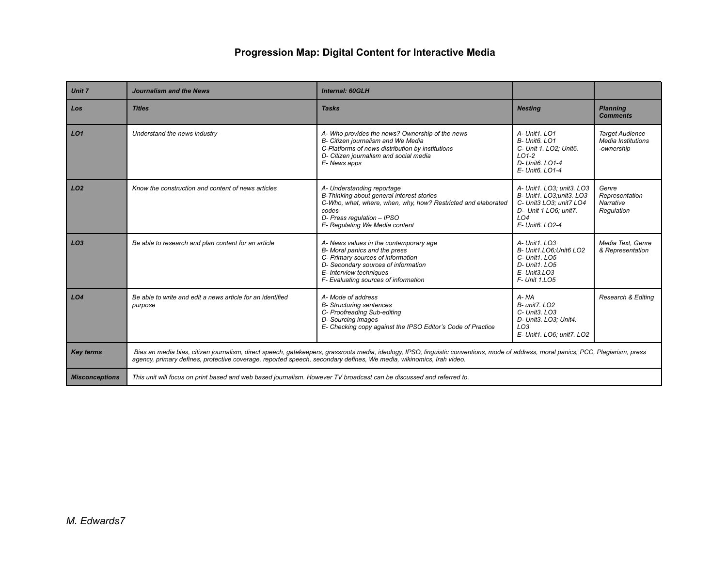| Unit 7                | <b>Journalism and the News</b>                                                                                       | <b>Internal: 60GLH</b>                                                                                                                                                                                                 |                                                                                                                                                 |                                                                   |
|-----------------------|----------------------------------------------------------------------------------------------------------------------|------------------------------------------------------------------------------------------------------------------------------------------------------------------------------------------------------------------------|-------------------------------------------------------------------------------------------------------------------------------------------------|-------------------------------------------------------------------|
| Los                   | <b>Titles</b>                                                                                                        | <b>Tasks</b>                                                                                                                                                                                                           | <b>Nesting</b>                                                                                                                                  | <b>Planning</b><br><b>Comments</b>                                |
| LO <sub>1</sub>       | Understand the news industry                                                                                         | A-Who provides the news? Ownership of the news<br>B- Citizen journalism and We Media<br>C-Platforms of news distribution by institutions<br>D- Citizen journalism and social media<br>E-News apps                      | A- Unit1. LO1<br>B- Unit6, LO1<br>C- Unit 1, LO2: Unit6.<br>$LO1-2$<br>D- Unit6, LO1-4<br>E- Unit6, LO1-4                                       | <b>Target Audience</b><br><b>Media Institutions</b><br>-ownership |
| LO <sub>2</sub>       | Know the construction and content of news articles                                                                   | A- Understanding reportage<br>B-Thinking about general interest stories<br>C-Who, what, where, when, why, how? Restricted and elaborated<br>codes<br>D- Press regulation - IPSO<br>E- Regulating We Media content      | A- Unit1. LO3: unit3. LO3<br>B- Unit1. LO3;unit3. LO3<br>C- Unit3 LO3; unit7 LO4<br>D- Unit 1 LO6; unit7.<br>LO <sub>4</sub><br>E- Unit6, LO2-4 | Genre<br>Representation<br>Narrative<br>Regulation                |
| LO <sub>3</sub>       | Be able to research and plan content for an article                                                                  | A- News values in the contemporary age<br>B- Moral panics and the press<br>C- Primary sources of information<br>D- Secondary sources of information<br>E- Interview techniques<br>F- Evaluating sources of information | A- Unit1, LO3<br>B- Unit1.LO6: Unit6 LO2<br>$C - Unit1$ . $LOS$<br>D- Unit1, LO5<br>$E - Unit3$ . LO3<br>F- Unit 1.LO5                          | Media Text. Genre<br>& Representation                             |
| LO4                   | Be able to write and edit a news article for an identified<br>purpose                                                | A-Mode of address<br><b>B-Structuring sentences</b><br>C- Proofreading Sub-editing<br>D- Sourcing images<br>E- Checking copy against the IPSO Editor's Code of Practice                                                | A-NA<br>B- unit7, LO2<br>$C - Unit3$ . $LO3$<br>D- Unit3. LO3: Unit4.<br>LO <sub>3</sub><br>E- Unit1. LO6; unit7. LO2                           | Research & Editing                                                |
| <b>Key terms</b>      | agency, primary defines, protective coverage, reported speech, secondary defines, We media, wikinomics, Irah video.  | Bias an media bias, citizen journalism, direct speech, gatekeepers, grassroots media, ideology, IPSO, linguistic conventions, mode of address, moral panics, PCC, Plagiarism, press                                    |                                                                                                                                                 |                                                                   |
| <b>Misconceptions</b> | This unit will focus on print based and web based journalism. However TV broadcast can be discussed and referred to. |                                                                                                                                                                                                                        |                                                                                                                                                 |                                                                   |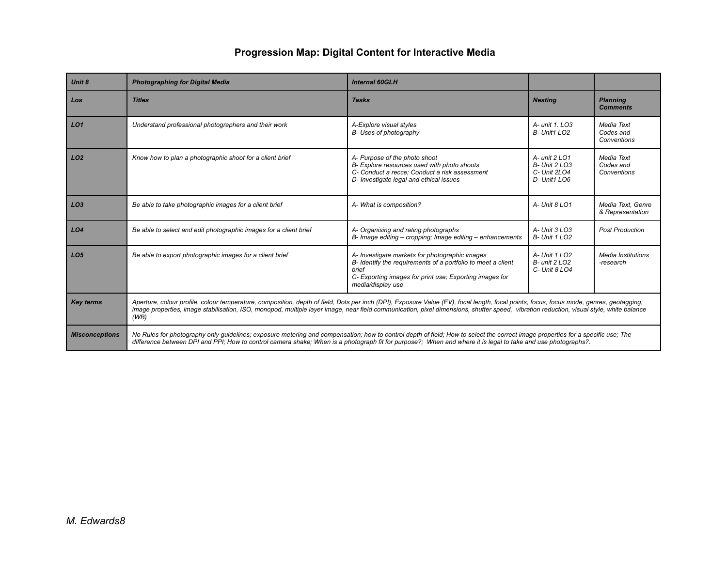| <b>Unit 8</b>         | <b>Photographing for Digital Media</b>                                                                                                                                                                                                                                                                                                                                                    | <b>Internal 60GLH</b>                                                                                                                                                                                   |                                                                |                                        |
|-----------------------|-------------------------------------------------------------------------------------------------------------------------------------------------------------------------------------------------------------------------------------------------------------------------------------------------------------------------------------------------------------------------------------------|---------------------------------------------------------------------------------------------------------------------------------------------------------------------------------------------------------|----------------------------------------------------------------|----------------------------------------|
| Los                   | <b>Titles</b>                                                                                                                                                                                                                                                                                                                                                                             | <b>Tasks</b>                                                                                                                                                                                            | <b>Nesting</b>                                                 | <b>Planning</b><br><b>Comments</b>     |
| LO1                   | Understand professional photographers and their work                                                                                                                                                                                                                                                                                                                                      | A-Explore visual styles<br>B-Uses of photography                                                                                                                                                        | A- unit 1, LO3<br>B- Unit1 LO2                                 | Media Text<br>Codes and<br>Conventions |
| LO2                   | Know how to plan a photographic shoot for a client brief                                                                                                                                                                                                                                                                                                                                  | A- Purpose of the photo shoot<br>B- Explore resources used with photo shoots<br>C- Conduct a recce: Conduct a risk assessment<br>D- Investigate legal and ethical issues                                | A- unit 2 LO1<br>B- Unit 2 LO3<br>C- Unit 2LO4<br>D- Unit1 LO6 | Media Text<br>Codes and<br>Conventions |
| LO3                   | Be able to take photographic images for a client brief                                                                                                                                                                                                                                                                                                                                    | A- What is composition?                                                                                                                                                                                 | A- Unit 8 LO1                                                  | Media Text, Genre<br>& Representation  |
| LO <sub>4</sub>       | Be able to select and edit photographic images for a client brief                                                                                                                                                                                                                                                                                                                         | A- Organising and rating photographs<br>B- Image editing – cropping: Image editing – enhancements                                                                                                       | A- Unit 3 LO3<br><b>B- Unit 1 LO2</b>                          | <b>Post Production</b>                 |
| LO <sub>5</sub>       | Be able to export photographic images for a client brief                                                                                                                                                                                                                                                                                                                                  | A- Investigate markets for photographic images<br>B- Identify the requirements of a portfolio to meet a client<br>brief<br>C- Exporting images for print use; Exporting images for<br>media/display use | A- Unit 1 LO2<br>$B$ - unit 2 LO <sub>2</sub><br>C- Unit 8 LO4 | <b>Media Institutions</b><br>-research |
| <b>Key terms</b>      | Aperture, colour profile, colour temperature, composition, depth of field, Dots per inch (DPI), Exposure Value (EV), focal length, focal points, focus, focus mode, genres, geotagging,<br>image properties, image stabilisation, ISO, monopod, multiple layer image, near field communication, pixel dimensions, shutter speed, vibration reduction, visual style, white balance<br>(WB) |                                                                                                                                                                                                         |                                                                |                                        |
| <b>Misconceptions</b> | No Rules for photography only quidelines; exposure metering and compensation; how to control depth of field; How to select the correct image properties for a specific use; The<br>difference between DPI and PPI; How to control camera shake; When is a photograph fit for purpose?; When and where it is legal to take and use photographs?.                                           |                                                                                                                                                                                                         |                                                                |                                        |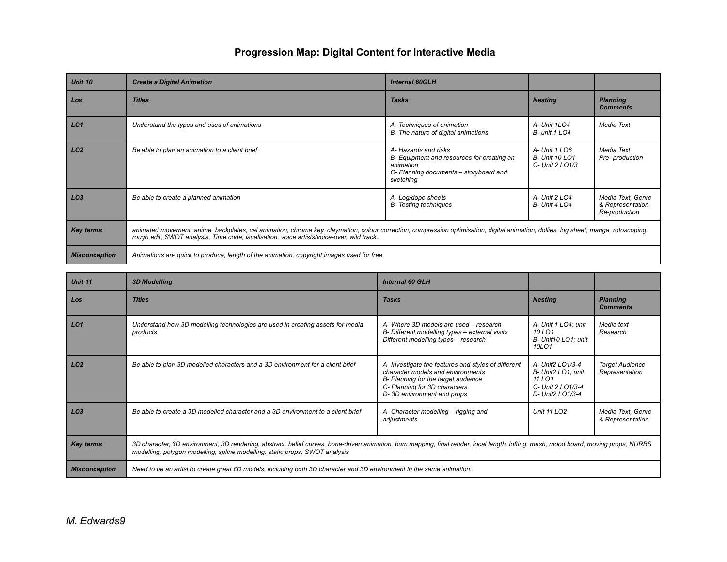| Unit 10              | <b>Create a Digital Animation</b>                                                                                                                                                                                                                                                | <b>Internal 60GLH</b>                                                                                                                 |                                                          |                                                        |
|----------------------|----------------------------------------------------------------------------------------------------------------------------------------------------------------------------------------------------------------------------------------------------------------------------------|---------------------------------------------------------------------------------------------------------------------------------------|----------------------------------------------------------|--------------------------------------------------------|
| Los                  | <b>Titles</b>                                                                                                                                                                                                                                                                    | <b>Tasks</b>                                                                                                                          | <b>Nesting</b>                                           | <b>Planning</b><br><b>Comments</b>                     |
| LO <sub>1</sub>      | Understand the types and uses of animations                                                                                                                                                                                                                                      | A-Techniques of animation<br>B- The nature of digital animations                                                                      | A- Unit 1LO4<br>B- unit 1 LO4                            | Media Text                                             |
| LO <sub>2</sub>      | Be able to plan an animation to a client brief                                                                                                                                                                                                                                   | A-Hazards and risks<br>B- Equipment and resources for creating an<br>animation<br>C- Planning documents – storyboard and<br>sketching | A-Unit 1 LO6<br><b>B- Unit 10 LO1</b><br>C- Unit 2 LO1/3 | Media Text<br>Pre- production                          |
| LO <sub>3</sub>      | Be able to create a planned animation                                                                                                                                                                                                                                            | A-Log/dope sheets<br><b>B-</b> Testing techniques                                                                                     | A-Unit 2 LO4<br><b>B- Unit 4 LO4</b>                     | Media Text, Genre<br>& Representation<br>Re-production |
| <b>Key terms</b>     | animated movement, anime, backplates, cel animation, chroma key, claymation, colour correction, compression optimisation, digital animation, dollies, log sheet, manga, rotoscoping,<br>rough edit, SWOT analysis, Time code, isualisation, voice artists/voice-over, wild track |                                                                                                                                       |                                                          |                                                        |
| <b>Misconception</b> | Animations are quick to produce, length of the animation, copyright images used for free.                                                                                                                                                                                        |                                                                                                                                       |                                                          |                                                        |

| Unit 11              | <b>3D Modelling</b>                                                                                                                                                                                                                                                | <b>Internal 60 GLH</b>                                                                                                                                                                         |                                                                                           |                                          |
|----------------------|--------------------------------------------------------------------------------------------------------------------------------------------------------------------------------------------------------------------------------------------------------------------|------------------------------------------------------------------------------------------------------------------------------------------------------------------------------------------------|-------------------------------------------------------------------------------------------|------------------------------------------|
| Los                  | <b>Titles</b>                                                                                                                                                                                                                                                      | <b>Tasks</b>                                                                                                                                                                                   | <b>Nesting</b>                                                                            | <b>Planning</b><br><b>Comments</b>       |
| LO1                  | Understand how 3D modelling technologies are used in creating assets for media<br>products                                                                                                                                                                         | A-Where 3D models are used - research<br>B- Different modelling types - external visits<br>Different modelling types - research                                                                | A- Unit 1 LO4; unit<br>10 LO1<br>B- Unit10 LO1; unit<br>10LO1                             | Media text<br>Research                   |
| LO <sub>2</sub>      | Be able to plan 3D modelled characters and a 3D environment for a client brief                                                                                                                                                                                     | A- Investigate the features and styles of different<br>character models and environments<br>B- Planning for the target audience<br>C- Planning for 3D characters<br>D-3D environment and props | A- Unit2 LO1/3-4<br>B- Unit2 LO1; unit<br>11 LO1<br>C- Unit 2 LO1/3-4<br>D- Unit2 LO1/3-4 | <b>Target Audience</b><br>Representation |
| LO <sub>3</sub>      | Be able to create a 3D modelled character and a 3D environment to a client brief                                                                                                                                                                                   | A- Character modelling – rigging and<br>adjustments                                                                                                                                            | <b>Unit 11 LO2</b>                                                                        | Media Text, Genre<br>& Representation    |
| <b>Key terms</b>     | 3D character, 3D environment, 3D rendering, abstract, belief curves, bone-driven animation, bum mapping, final render, focal length, lofting, mesh, mood board, moving props, NURBS<br>modelling, polygon modelling, spline modelling, static props, SWOT analysis |                                                                                                                                                                                                |                                                                                           |                                          |
| <b>Misconception</b> | Need to be an artist to create great £D models, including both 3D character and 3D environment in the same animation.                                                                                                                                              |                                                                                                                                                                                                |                                                                                           |                                          |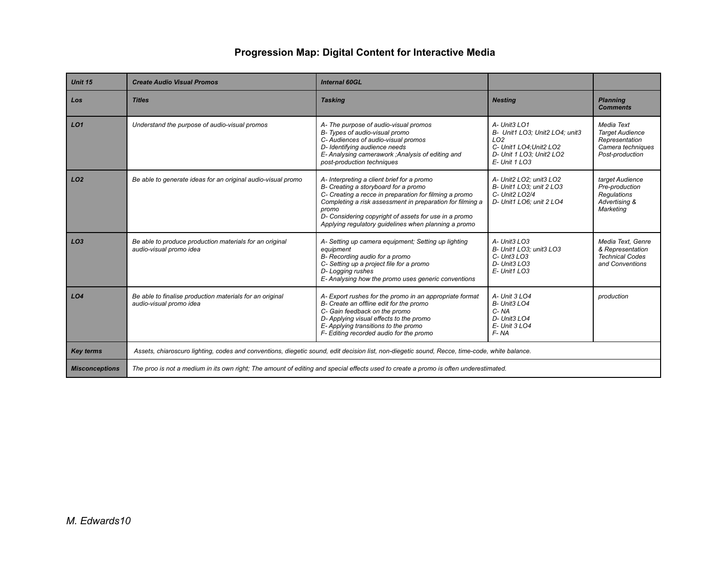| Unit 15               | <b>Create Audio Visual Promos</b>                                                                                                             | Internal 60GL                                                                                                                                                                                                                                                                                                                       |                                                                                                                                              |                                                                                                |
|-----------------------|-----------------------------------------------------------------------------------------------------------------------------------------------|-------------------------------------------------------------------------------------------------------------------------------------------------------------------------------------------------------------------------------------------------------------------------------------------------------------------------------------|----------------------------------------------------------------------------------------------------------------------------------------------|------------------------------------------------------------------------------------------------|
| Los                   | <b>Titles</b>                                                                                                                                 | <b>Tasking</b>                                                                                                                                                                                                                                                                                                                      | <b>Nesting</b>                                                                                                                               | <b>Planning</b><br><b>Comments</b>                                                             |
| LO1                   | Understand the purpose of audio-visual promos                                                                                                 | A- The purpose of audio-visual promos<br>B- Types of audio-visual promo<br>C- Audiences of audio-visual promos<br>D- Identifying audience needs<br>E- Analysing camerawork ; Analysis of editing and<br>post-production techniques                                                                                                  | A- Unit3 LO1<br>B- Unit1 LO3: Unit2 LO4: unit3<br>LO <sub>2</sub><br>C- Unit1 LO4: Unit2 LO2<br>D- Unit 1 LO3; Unit2 LO2<br>$E - Unit 1$ LO3 | Media Text<br><b>Target Audience</b><br>Representation<br>Camera techniques<br>Post-production |
| LO2                   | Be able to generate ideas for an original audio-visual promo                                                                                  | A- Interpreting a client brief for a promo<br>B- Creating a storyboard for a promo<br>C- Creating a recce in preparation for filming a promo<br>Completing a risk assessment in preparation for filming a<br>promo<br>D- Considering copyright of assets for use in a promo<br>Applying regulatory guidelines when planning a promo | A- Unit2 LO2: unit3 LO2<br>B- Unit1 LO3: unit 2 LO3<br>C- Unit2 LO2/4<br>D- Unit1 LO6; unit 2 LO4                                            | target Audience<br>Pre-production<br><b>Regulations</b><br>Advertising &<br>Marketing          |
| LO <sub>3</sub>       | Be able to produce production materials for an original<br>audio-visual promo idea                                                            | A- Setting up camera equipment: Setting up lighting<br>equipment<br>B- Recording audio for a promo<br>C- Setting up a project file for a promo<br>D-Logging rushes<br>E- Analysing how the promo uses generic conventions                                                                                                           | A- Unit3 LO3<br>B- Unit1 LO3: unit3 LO3<br>$C -$ Unt3 $LO3$<br>D- Unit3 LO3<br>$E - Unit1$ LO3                                               | Media Text. Genre<br>& Representation<br><b>Technical Codes</b><br>and Conventions             |
| LO <sub>4</sub>       | Be able to finalise production materials for an original<br>audio-visual promo idea                                                           | A- Export rushes for the promo in an appropriate format<br>B- Create an offline edit for the promo<br>C- Gain feedback on the promo<br>D- Applying visual effects to the promo<br>E-Applying transitions to the promo<br>F- Editing recorded audio for the promo                                                                    | A- Unit 3 LO4<br>B- Unit3 LO4<br>C-NA<br>D- Unit3 LO4<br>$E -$ Unit 3 LO4<br>F-NA                                                            | production                                                                                     |
| <b>Key terms</b>      | Assets, chiaroscuro lighting, codes and conventions, diegetic sound, edit decision list, non-diegetic sound, Recce, time-code, white balance. |                                                                                                                                                                                                                                                                                                                                     |                                                                                                                                              |                                                                                                |
| <b>Misconceptions</b> | The proo is not a medium in its own right; The amount of editing and special effects used to create a promo is often underestimated.          |                                                                                                                                                                                                                                                                                                                                     |                                                                                                                                              |                                                                                                |